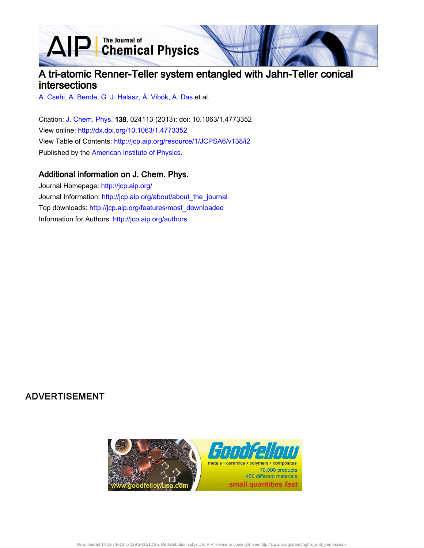**D** The Journal of<br> **Chemical Physics** 

# A tri-atomic Renner-Teller system entangled with Jahn-Teller conical intersections

[A. Csehi,](http://jcp.aip.org/search?sortby=newestdate&q=&searchzone=2&searchtype=searchin&faceted=faceted&key=AIP_ALL&possible1=A. Csehi&possible1zone=author&alias=&displayid=AIP&ver=pdfcov) [A. Bende](http://jcp.aip.org/search?sortby=newestdate&q=&searchzone=2&searchtype=searchin&faceted=faceted&key=AIP_ALL&possible1=A. Bende&possible1zone=author&alias=&displayid=AIP&ver=pdfcov), [G. J. Halász](http://jcp.aip.org/search?sortby=newestdate&q=&searchzone=2&searchtype=searchin&faceted=faceted&key=AIP_ALL&possible1=G. J. Hal�sz&possible1zone=author&alias=&displayid=AIP&ver=pdfcov), [Á. Vibók](http://jcp.aip.org/search?sortby=newestdate&q=&searchzone=2&searchtype=searchin&faceted=faceted&key=AIP_ALL&possible1=�. Vib�k&possible1zone=author&alias=&displayid=AIP&ver=pdfcov), [A. Das](http://jcp.aip.org/search?sortby=newestdate&q=&searchzone=2&searchtype=searchin&faceted=faceted&key=AIP_ALL&possible1=A. Das&possible1zone=author&alias=&displayid=AIP&ver=pdfcov) et al.

 $\blacktriangle$ 

Citation: [J. Chem. Phys. 1](http://jcp.aip.org/?ver=pdfcov)38, 024113 (2013); doi: 10.1063/1.4773352 View online: [http://dx.doi.org/10.1063/1.4773352](http://link.aip.org/link/doi/10.1063/1.4773352?ver=pdfcov) View Table of Contents: [http://jcp.aip.org/resource/1/JCPSA6/v138/i2](http://jcp.aip.org/resource/1/JCPSA6/v138/i2?ver=pdfcov) Published by the [American Institute of Physics.](http://www.aip.org/?ver=pdfcov)

## Additional information on J. Chem. Phys.

Journal Homepage: [http://jcp.aip.org/](http://jcp.aip.org/?ver=pdfcov) Journal Information: [http://jcp.aip.org/about/about\\_the\\_journal](http://jcp.aip.org/about/about_the_journal?ver=pdfcov) Top downloads: [http://jcp.aip.org/features/most\\_downloaded](http://jcp.aip.org/features/most_downloaded?ver=pdfcov) Information for Authors: [http://jcp.aip.org/authors](http://jcp.aip.org/authors?ver=pdfcov)

## **ADVERTISEMENT**

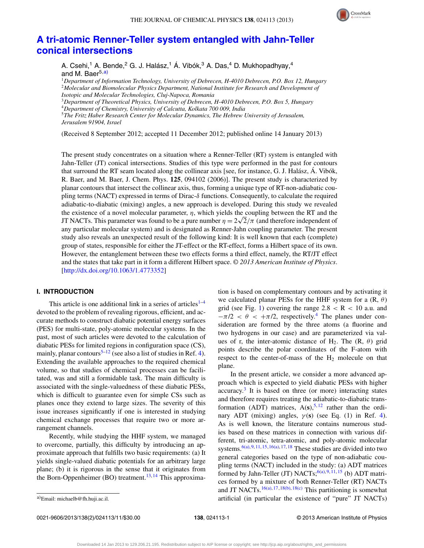

## **[A tri-atomic Renner-Teller system entangled with Jahn-Teller](http://dx.doi.org/10.1063/1.4773352) [conical intersections](http://dx.doi.org/10.1063/1.4773352)**

A. Csehi,<sup>1</sup> A. Bende,<sup>2</sup> G. J. Halász,<sup>1</sup> Á. Vibók,<sup>3</sup> A. Das,<sup>4</sup> D. Mukhopadhyay,<sup>4</sup> and M. Baer<sup>5[,a\)](#page-1-0)</sup>

<sup>1</sup>*Department of Information Technology, University of Debrecen, H-4010 Debrecen, P.O. Box 12, Hungary* <sup>2</sup>*Molecular and Biomolecular Physics Department, National Institute for Research and Development of Isotopic and Molecular Technologies, Cluj-Napoca, Romania*

<sup>3</sup>*Department of Theoretical Physics, University of Debrecen, H-4010 Debrecen, P.O. Box 5, Hungary* <sup>4</sup>*Department of Chemistry, University of Calcutta, Kolkata 700 009, India*

<sup>5</sup>*The Fritz Haber Research Center for Molecular Dynamics, The Hebrew University of Jerusalem, Jerusalem 91904, Israel*

(Received 8 September 2012; accepted 11 December 2012; published online 14 January 2013)

The present study concentrates on a situation where a Renner-Teller (RT) system is entangled with Jahn-Teller (JT) conical intersections. Studies of this type were performed in the past for contours that surround the RT seam located along the collinear axis [see, for instance, G. J. Halász, Á. Vibók, R. Baer, and M. Baer, J. Chem. Phys. **125**, 094102 (2006)]. The present study is characterized by planar contours that intersect the collinear axis, thus, forming a unique type of RT-non-adiabatic coupling terms (NACT) expressed in terms of Dirac-*δ* functions. Consequently, to calculate the required adiabatic-to-diabatic (mixing) angles, a new approach is developed. During this study we revealed the existence of a novel molecular parameter, *η*, which yields the coupling between the RT and the the existence of a novel molecular parameter, *η*, which yields the coupling between the K1 and the JT NACTs. This parameter was found to be a pure number  $\eta = 2\sqrt{2}/\pi$  (and therefore independent of any particular molecular system) and is designated as Renner-Jahn coupling parameter. The present study also reveals an unexpected result of the following kind: It is well known that each (complete) group of states, responsible for either the JT-effect or the RT-effect, forms a Hilbert space of its own. However, the entanglement between these two effects forms a third effect, namely, the RT/JT effect and the states that take part in it form a different Hilbert space. *© 2013 American Institute of Physics*. [\[http://dx.doi.org/10.1063/1.4773352\]](http://dx.doi.org/10.1063/1.4773352)

## **I. INTRODUCTION**

This article is one additional link in a series of articles<sup>1-[4](#page-10-1)</sup> devoted to the problem of revealing rigorous, efficient, and accurate methods to construct diabatic potential energy surfaces (PES) for multi-state, poly-atomic molecular systems. In the past, most of such articles were devoted to the calculation of diabatic PESs for limited regions in configuration space (CS), mainly, planar contours<sup>[5](#page-10-2)[–12](#page-10-3)</sup> (see also a list of studies in Ref. [4\)](#page-10-1). Extending the available approaches to the required chemical volume, so that studies of chemical processes can be facilitated, was and still a formidable task. The main difficulty is associated with the single-valuedness of these diabatic PESs, which is difficult to guarantee even for simple CSs such as planes once they extend to large sizes. The severity of this issue increases significantly if one is interested in studying chemical exchange processes that require two or more arrangement channels.

Recently, while studying the HHF system, we managed to overcome, partially, this difficulty by introducing an approximate approach that fulfills two basic requirements: (a) It yields single-valued diabatic potentials for an arbitrary large plane; (b) it is rigorous in the sense that it originates from the Born-Oppenheimer (BO) treatment.<sup>[13,](#page-10-4) [14](#page-10-5)</sup> This approximation is based on complementary contours and by activating it we calculated planar PESs for the HHF system for a (R, *θ*) grid (see Fig. [1\)](#page-2-0) covering the range  $2.8 < R < 10$  a.u. and  $-\pi/2 < \theta < +\pi/2$ , respectively.<sup>4</sup> The planes under consideration are formed by the three atoms (a fluorine and two hydrogens in our case) and are parameterized via values of r, the inter-atomic distance of H<sub>2</sub>. The  $(R, \theta)$  grid points describe the polar coordinates of the F-atom with respect to the center-of-mass of the  $H_2$  molecule on that plane.

In the present article, we consider a more advanced approach which is expected to yield diabatic PESs with higher  $accuracy<sup>3</sup>$  $accuracy<sup>3</sup>$  $accuracy<sup>3</sup>$  It is based on three (or more) interacting states and therefore requires treating the adiabatic-to-diabatic transformation (ADT) matrices,  $A(s)$ ,<sup>[5,](#page-10-2) [12](#page-10-3)</sup> rather than the ordinary ADT (mixing) angles,  $\gamma(s)$  (see Eq. (1) in Ref. [4\)](#page-10-1). As is well known, the literature contains numerous studies based on these matrices in connection with various different, tri-atomic, tetra-atomic, and poly-atomic molecular systems.<sup> $6(a)$ , [9,](#page-10-8) [11,](#page-10-9) [15](#page-11-0), 16(a), [17,](#page-11-2) [18](#page-11-3)</sup> These studies are divided into two general categories based on the type of non-adiabatic coupling terms (NACT) included in the study: (a) ADT matrices formed by Jahn-Teller (JT) NACTs;<sup>[6\(a\),](#page-10-7) [9,](#page-10-8) [11,](#page-10-9) [15](#page-11-0)</sup> (b) ADT matrices formed by a mixture of both Renner-Teller (RT) NACTs and JT NACTs.<sup>16(a), [17](#page-11-2)[,18\(b\),](#page-11-4) [18\(c\)](#page-11-5)</sup> This partitioning is somewhat artificial (in particular the existence of "pure" JT NACTs)

<span id="page-1-0"></span>a)Email: [michaelb@fh.huji.ac.il.](mailto: michaelb@fh.huji.ac.il)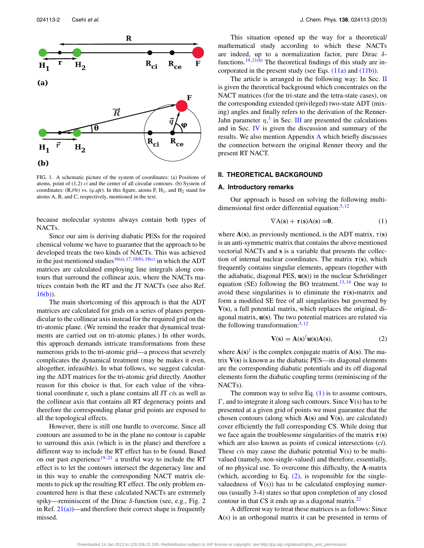<span id="page-2-0"></span>

FIG. 1. A schematic picture of the system of coordinates: (a) Positions of atoms, point of (1,2) *ci* and the center of all circular contours. (b) System of coordinates: (R, $\theta$ |r) vs. ( $\varphi$ ,q|r). In this figure, atoms F, H<sub>1</sub>, and H<sub>2</sub> stand for atoms A, B, and C, respectively, mentioned in the text.

because molecular systems always contain both types of NACTs.

Since our aim is deriving diabatic PESs for the required chemical volume we have to guarantee that the approach to be developed treats the two kinds of NACTs. This was achieved in the just mentioned studies<sup>16(a), [17,](#page-11-2)[18\(b\),](#page-11-4) [18\(c\)](#page-11-5)</sup> in which the ADT matrices are calculated employing line integrals along contours that surround the collinear axis, where the NACTs matrices contain both the RT and the JT NACTs (see also Ref.  $16(b)$ ).

The main shortcoming of this approach is that the ADT matrices are calculated for grids on a series of planes perpendicular to the collinear axis instead for the required grid on the tri-atomic plane. (We remind the reader that dynamical treatments are carried out on tri-atomic planes.) In other words, this approach demands intricate transformations from these numerous grids to the tri-atomic grid—a process that severely complicates the dynamical treatment (may be makes it even, altogether, infeasible). In what follows, we suggest calculating the ADT matrices for the tri-atomic grid directly. Another reason for this choice is that, for each value of the vibrational coordinate r, such a plane contains all JT *ci*s as well as the collinear axis that contains all RT degeneracy points and therefore the corresponding planar grid points are exposed to all the topological effects.

However, there is still one hurdle to overcome. Since all contours are assumed to be in the plane no contour is capable to surround this axis (which is in the plane) and therefore a different way to include the RT effect has to be found. Based on our past experience $19-21$  $19-21$  a trustful way to include the RT effect is to let the contours intersect the degeneracy line and in this way to enable the corresponding NACT matrix elements to pick up the resulting RT effect. The only problem encountered here is that these calculated NACTs are extremely spiky—reminiscent of the Dirac *δ*-function (see, e.g., Fig. 2 in Ref.  $21(a)$ —and therefore their correct shape is frequently missed.

This situation opened up the way for a theoretical/ mathematical study according to which these NACTs are indeed, up to a normalization factor, pure Dirac *δ*-functions.<sup>19,[21\(b\)](#page-11-10)</sup> The theoretical findings of this study are incorporated in the present study (see Eqs. [\(11a\)](#page-5-0) and [\(11b\)\)](#page-5-1).

The article is arranged in the following way: In Sec. [II](#page-2-1) is given the theoretical background which concentrates on the NACT matrices (for the tri-state and the tetra-state cases), on the corresponding extended (privileged) two-state ADT (mixing) angles and finally refers to the derivation of the Renner-Jahn parameter  $\eta$ <sup>[3](#page-10-6)</sup>, in Sec. [III](#page-7-0) are presented the calculations and in Sec. [IV](#page-8-0) is given the discussion and summary of the results. We also mention Appendix [A](#page-10-10) which briefly discusses the connection between the original Renner theory and the present RT NACT.

## <span id="page-2-4"></span><span id="page-2-1"></span>**II. THEORETICAL BACKGROUND**

#### **A. Introductory remarks**

Our approach is based on solving the following multidimensional first order differential equation: $5,12$  $5,12$ 

<span id="page-2-2"></span>
$$
\nabla A(\mathbf{s}) + \tau(\mathbf{s})A(\mathbf{s}) = 0, \tag{1}
$$

where  $A(s)$ , as previously mentioned, is the ADT matrix,  $\tau(s)$ is an anti-symmetric matrix that contains the above mentioned vectorial NACTs and **s** is a variable that presents the collection of internal nuclear coordinates. The matrix  $\tau(s)$ , which frequently contains singular elements, appears (together with the adiabatic, diagonal PES, **u**(**s**)) in the nuclear Schrödinger equation (SE) following the BO treatment.<sup>[13,](#page-10-4) [14](#page-10-5)</sup> One way to avoid these singularities is to eliminate the  $\tau(s)$ -matrix and form a modified SE free of all singularities but governed by **V**(**s**), a full potential matrix, which replaces the original, diagonal matrix, **u**(**s**). The two potential matrices are related via the following transformation: $5,12$  $5,12$ 

<span id="page-2-3"></span>
$$
\mathbf{V}(\mathbf{s}) = \mathbf{A}(\mathbf{s})^{\dagger} \mathbf{u}(\mathbf{s}) \mathbf{A}(\mathbf{s}),\tag{2}
$$

where  $\mathbf{A}(\mathbf{s})^{\dagger}$  is the complex conjugate matrix of  $\mathbf{A}(\mathbf{s})$ . The matrix **V**(**s**) is known as the diabatic PES—its diagonal elements are the corresponding diabatic potentials and its off diagonal elements form the diabatic coupling terms (reminiscing of the NACTs).

The common way to solve Eq.  $(1)$  is to assume contours,  $\Gamma$ , and to integrate it along such contours. Since  $V(s)$  has to be presented at a given grid of points we must guarantee that the chosen contours (along which **A**(**s**) and **V**(**s**), are calculated) cover efficiently the full corresponding CS. While doing that we face again the troublesome singularities of the matrix  $\tau(s)$ which are also known as points of conical intersections (*ci*). These *ci*s may cause the diabatic potential **V**(s) to be multivalued (namely, non-single-valued) and therefore, essentially, of no physical use. To overcome this difficulty, the **A**-matrix (which, according to Eq.  $(2)$ , is responsible for the singlevaluedness of  $V(s)$ ) has to be calculated employing numerous (usually 3-4) states so that upon completion of any closed contour in that CS it ends up as a diagonal matrix. $^{22}$ 

A different way to treat these matrices is as follows: Since **A**(s) is an orthogonal matrix it can be presented in terms of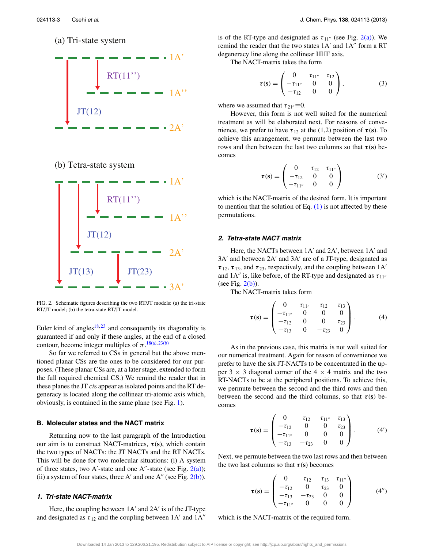<span id="page-3-0"></span>(a) Tri-state system



## (b) Tetra-state system



FIG. 2. Schematic figures describing the two RT/JT models: (a) the tri-state RT/JT model; (b) the tetra-state RT/JT model.

Euler kind of angles<sup>18, [23](#page-11-12)</sup> and consequently its diagonality is guaranteed if and only if these angles, at the end of a closed contour, become integer multiples of  $\pi$ .<sup>[18\(a\),](#page-11-13) [23\(b\)](#page-11-14)</sup>

So far we referred to CSs in general but the above mentioned planar CSs are the ones to be considered for our purposes. (These planar CSs are, at a later stage, extended to form the full required chemical CS.) We remind the reader that in these planes the JT *ci*s appear as isolated points and the RT degeneracy is located along the collinear tri-atomic axis which, obviously, is contained in the same plane (see Fig. [1\)](#page-2-0).

## <span id="page-3-4"></span>**B. Molecular states and the NACT matrix**

Returning now to the last paragraph of the Introduction our aim is to construct NACT-matrices, *τ* (**s**), which contain the two types of NACTs: the JT NACTs and the RT NACTs. This will be done for two molecular situations: (i) A system of three states, two A'-state and one A"-state (see Fig.  $2(a)$ ); (ii) a system of four states, three A' and one A'' (see Fig.  $2(b)$ ).

## <span id="page-3-1"></span>**1. Tri-state NACT-matrix**

Here, the coupling between  $1A'$  and  $2A'$  is of the JT-type and designated as  $\tau_{12}$  and the coupling between 1A' and 1A" is of the RT-type and designated as  $\tau_{11''}$  (see Fig. [2\(a\)\)](#page-3-0). We remind the reader that the two states  $1A'$  and  $1A''$  form a RT degeneracy line along the collinear HHF axis.

The NACT-matrix takes the form

$$
\boldsymbol{\tau}(\mathbf{s}) = \begin{pmatrix} 0 & \tau_{11''} & \tau_{12} \\ -\tau_{11''} & 0 & 0 \\ -\tau_{12} & 0 & 0 \end{pmatrix}, \tag{3}
$$

where we assumed that  $\tau_{21}$ <sup> $\equiv$ </sup> $0$ .

However, this form is not well suited for the numerical treatment as will be elaborated next. For reasons of convenience, we prefer to have  $\tau_{12}$  at the (1,2) position of  $\tau(s)$ . To achieve this arrangement, we permute between the last two rows and then between the last two columns so that  $\tau(s)$  becomes

<span id="page-3-2"></span>
$$
\boldsymbol{\tau}(\mathbf{s}) = \begin{pmatrix} 0 & \tau_{12} & \tau_{11''} \\ -\tau_{12} & 0 & 0 \\ -\tau_{11''} & 0 & 0 \end{pmatrix} \tag{3'}
$$

which is the NACT-matrix of the desired form. It is important to mention that the solution of Eq.  $(1)$  is not affected by these permutations.

### **2. Tetra-state NACT matrix**

Here, the NACTs between 1A' and 2A', between 1A' and  $3A'$  and between  $2A'$  and  $3A'$  are of a JT-type, designated as  $\tau_{12}$ ,  $\tau_{13}$ , and  $\tau_{23}$ , respectively, and the coupling between 1A' and  $1A''$  is, like before, of the RT-type and designated as  $\tau_{11''}$ (see Fig.  $2(b)$ ).

The NACT-matrix takes form

$$
\boldsymbol{\tau}(\mathbf{s}) = \begin{pmatrix} 0 & \tau_{11''} & \tau_{12} & \tau_{13} \\ -\tau_{11''} & 0 & 0 & 0 \\ -\tau_{12} & 0 & 0 & \tau_{23} \\ -\tau_{13} & 0 & -\tau_{23} & 0 \end{pmatrix}.
$$
 (4)

As in the previous case, this matrix is not well suited for our numerical treatment. Again for reason of convenience we prefer to have the six JT-NACTs to be concentrated in the upper 3  $\times$  3 diagonal corner of the 4  $\times$  4 matrix and the two RT-NACTs to be at the peripheral positions. To achieve this, we permute between the second and the third rows and then between the second and the third columns, so that  $\tau(s)$  becomes

$$
\boldsymbol{\tau}(\mathbf{s}) = \begin{pmatrix} 0 & \tau_{12} & \tau_{11''} & \tau_{13} \\ -\tau_{12} & 0 & 0 & \tau_{23} \\ -\tau_{11''} & 0 & 0 & 0 \\ -\tau_{13} & -\tau_{23} & 0 & 0 \end{pmatrix} . \tag{4'}
$$

Next, we permute between the two last rows and then between the two last columns so that  $\tau(s)$  becomes

<span id="page-3-3"></span>
$$
\boldsymbol{\tau}(\mathbf{s}) = \begin{pmatrix} 0 & \tau_{12} & \tau_{13} & \tau_{11''} \\ -\tau_{12} & 0 & \tau_{23} & 0 \\ -\tau_{13} & -\tau_{23} & 0 & 0 \\ -\tau_{11''} & 0 & 0 & 0 \end{pmatrix}
$$
(4'')

which is the NACT**-**matrix of the required form.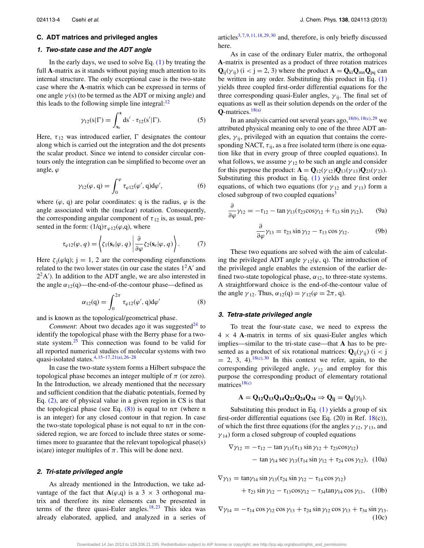### **C. ADT matrices and privileged angles**

## **1. Two-state case and the ADT angle**

In the early days, we used to solve Eq.  $(1)$  by treating the full **A**-matrix as it stands without paying much attention to its internal structure. The only exceptional case is the two-state case where the **A**-matrix which can be expressed in terms of one angle  $\gamma$  (s) (to be termed as the ADT or mixing angle) and this leads to the following simple line integral: $12$ 

$$
\gamma_{12}(s|\Gamma) = \int_{s_0}^{s} ds' \cdot \tau_{12}(s'|\Gamma). \tag{5}
$$

Here,  $\tau_{12}$  was introduced earlier,  $\Gamma$  designates the contour along which is carried out the integration and the dot presents the scalar product. Since we intend to consider circular contours only the integration can be simplified to become over an angle, *ϕ*

<span id="page-4-5"></span>
$$
\gamma_{12}(\varphi, q) = \int_0^{\varphi} \tau_{\varphi 12}(\varphi', q) d\varphi', \qquad (6)
$$

where  $(\varphi, q)$  are polar coordinates: q is the radius,  $\varphi$  is the angle associated with the (nuclear) rotation. Consequently, the corresponding angular component of  $\tau_{12}$  is, as usual, presented in the form:  $(1/q) \tau_{\varphi 12}(\varphi, q)$ , where

<span id="page-4-6"></span>
$$
\tau_{\varphi 12}(\varphi, q) = \left\langle \zeta_1(\mathbf{s}_e | \varphi, q) \left| \frac{\partial}{\partial \varphi} \zeta_2(\mathbf{s}_e | \varphi, q) \right. \right\rangle. \tag{7}
$$

Here  $\zeta_i(\varphi|q)$ ; j = 1, 2 are the corresponding eigenfunctions related to the two lower states (in our case the states  $1<sup>2</sup>A'$  and  $2<sup>2</sup>A'$ ). In addition to the ADT angle, we are also interested in the angle  $\alpha_{12}(q)$ —the-end-of-the-contour phase—defined as

<span id="page-4-0"></span>
$$
\alpha_{12}(q) = \int_0^{2\pi} \tau_{\varphi 12}(\varphi', q) d\varphi'
$$
 (8)

and is known as the topological/geometrical phase.

*Comment*: About two decades ago it was suggested $^{24}$  to identify the topological phase with the Berry phase for a twostate system. $25$  This connection was found to be valid for all reported numerical studies of molecular systems with two quasi-isolated states[.4,](#page-10-1) [15–](#page-11-0)[17,](#page-11-2)[21\(a\),](#page-11-9) [26–](#page-11-17)[28](#page-11-18)

In case the two-state system forms a Hilbert subspace the topological phase becomes an integer multiple of  $\pi$  (or zero). In the Introduction, we already mentioned that the necessary and sufficient condition that the diabatic potentials, formed by Eq. [\(2\),](#page-2-3) are of physical value in a given region in CS is that the topological phase (see Eq.  $(8)$ ) is equal to  $n\pi$  (where n is an integer) for any closed contour in that region. In case the two-state topological phase is not equal to  $n\pi$  in the considered region, we are forced to include three states or sometimes more to guarantee that the relevant topological phase(s) is(are) integer multiples of  $\pi$ . This will be done next.

### **2. Tri-state privileged angle**

As already mentioned in the Introduction, we take advantage of the fact that  $A(\varphi, q)$  is a 3  $\times$  3 orthogonal matrix and therefore its nine elements can be presented in terms of the three quasi-Euler angles.<sup>18,[23](#page-11-12)</sup> This idea was already elaborated, applied, and analyzed in a series of articles<sup>[3,](#page-10-6) [7,](#page-10-11) [9,](#page-10-8) [11,](#page-10-9) [18,](#page-11-3) [29,](#page-11-19) [30](#page-11-20)</sup> and, therefore, is only briefly discussed here.

As in case of the ordinary Euler matrix, the orthogonal **A**-matrix is presented as a product of three rotation matrices  $Q_{ii}(\gamma_{ii})$  ( $i < j = 2, 3$ ) where the product  $A = Q_{k1}Q_{mn}Q_{pa}$  can be written in any order. Substituting this product in Eq. [\(1\)](#page-2-2) yields three coupled first-order differential equations for the three corresponding quasi-Euler angles,  $\gamma_{ii}$ . The final set of equations as well as their solution depends on the order of the  $Q$ -matrices.<sup>[18\(a\)](#page-11-13)</sup>

In an analysis carried out several years ago,  $18(b)$ ,  $18(c)$ ,  $29$  we attributed physical meaning only to one of the three ADT angles,  $\gamma_{ij}$ , privileged with an equation that contains the corresponding NACT,  $\tau_{ii}$ , as a free isolated term (there is one equation like that in every group of three coupled equations). In what follows, we assume  $\gamma_{12}$  to be such an angle and consider for this purpose the product:  $\mathbf{A} = \mathbf{Q}_{12}(\gamma_{12})\mathbf{Q}_{13}(\gamma_{13})\mathbf{Q}_{23}(\gamma_{23}).$ Substituting this product in Eq. [\(1\)](#page-2-2) yields three first order equations, of which two equations (for  $\gamma_{12}$  and  $\gamma_{13}$ ) form a closed subgroup of two coupled equations<sup>3</sup>

<span id="page-4-1"></span>
$$
\frac{\partial}{\partial \varphi} \gamma_{12} = -\tau_{12} - \tan \gamma_{13} (\tau_{23} \cos \gamma_{12} + \tau_{13} \sin \gamma_{12}), \qquad (9a)
$$

<span id="page-4-2"></span>
$$
\frac{\partial}{\partial \varphi} \gamma_{13} = \tau_{23} \sin \gamma_{12} - \tau_{13} \cos \gamma_{12}.
$$
 (9b)

These two equations are solved with the aim of calculating the privileged ADT angle  $\gamma_{12}(\varphi, q)$ . The introduction of the privileged angle enables the extension of the earlier defined two-state topological phase,  $\alpha_{12}$ , to three-state systems. A straightforward choice is the end-of-the-contour value of the angle  $\gamma_{12}$ . Thus,  $\alpha_{12}(q) = \gamma_{12}(\varphi = 2\pi, q)$ .

#### **3. Tetra-state privileged angle**

To treat the four-state case, we need to express the  $4 \times 4$  **A**-matrix in terms of six quasi-Euler angles which implies—similar to the tri-state case—that **A** has to be presented as a product of six rotational matrices:  $\mathbf{Q}_{ii}(\gamma_{ii})$  (i < j  $= 2, 3, 4$ .  $18(c), 30$  $18(c), 30$  $18(c), 30$  In this context we refer, again, to the corresponding privileged angle,  $\gamma_{12}$  and employ for this purpose the corresponding product of elementary rotational matrices<sup>[18\(c\)](#page-11-5)</sup>

<span id="page-4-3"></span>
$$
A = Q_{12}Q_{13}Q_{14}Q_{23}Q_{24}Q_{34} \Rightarrow Q_{ij} = Q_{ij}(\gamma_{ij}).
$$

Substituting this product in Eq.  $(1)$  yields a group of six first-order differential equations (see Eq. (20) in Ref. [18\(](#page-11-3)c)), of which the first three equations (for the angles  $\gamma_{12}$ ,  $\gamma_{13}$ , and  $\gamma_{14}$ ) form a closed subgroup of coupled equations

$$
\nabla \gamma_{12} = -\tau_{12} - \tan \gamma_{13} (\tau_{13} \sin \gamma_{12} + \tau_{23} \cos \gamma_{12})
$$
  
- 
$$
\tan \gamma_{14} \sec \gamma_{13} (\tau_{14} \sin \gamma_{12} + \tau_{24} \cos \gamma_{12}), \quad (10a)
$$

$$
\nabla \gamma_{13} = \tan \gamma_{14} \sin \gamma_{13} (\tau_{24} \sin \gamma_{12} - \tau_{14} \cos \gamma_{12}) \n+ \tau_{23} \sin \gamma_{12} - \tau_{13} \cos \gamma_{12} - \tau_{34} \tan \gamma_{14} \cos \gamma_{13}, \quad (10b)
$$

<span id="page-4-4"></span> $\nabla \gamma_{14} = -\tau_{14} \cos \gamma_{12} \cos \gamma_{13} + \tau_{24} \sin \gamma_{12} \cos \gamma_{13} + \tau_{34} \sin \gamma_{13}$ . (10c)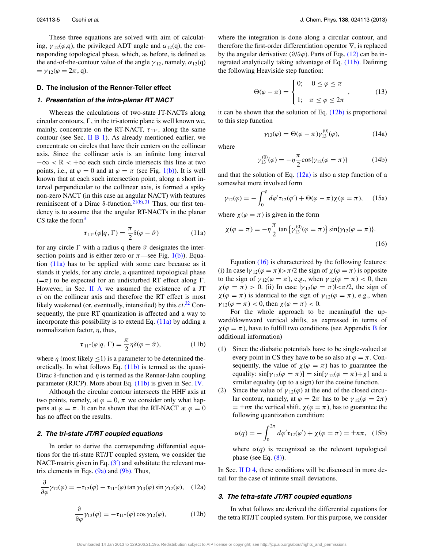These three equations are solved with aim of calculating,  $\gamma_{12}(\varphi, q)$ , the privileged ADT angle and  $\alpha_{12}(q)$ , the corresponding topological phase, which, as before, is defined as the end-of-the-contour value of the angle  $\gamma_{12}$ , namely,  $\alpha_{12}(q)$  $= \gamma_{12}(\varphi = 2\pi, q).$ 

#### <span id="page-5-7"></span>**D. The inclusion of the Renner-Teller effect**

## **1. Presentation of the intra-planar RT NACT**

Whereas the calculations of two-state JT-NACTs along circular contours,  $\Gamma$ , in the tri-atomic plane is well known we, mainly, concentrate on the RT-NACT,  $\tau_{11}$ , along the same contour (see Sec. II  $\overline{B}$  1). As already mentioned earlier, we concentrate on circles that have their centers on the collinear axis. Since the collinear axis is an infinite long interval −∞ *<* R *<* +∞ each such circle intersects this line at two points, i.e., at  $\varphi = 0$  and at  $\varphi = \pi$  (see Fig. [1\(b\)\)](#page-2-0). It is well known that at each such intersection point, along a short interval perpendicular to the collinear axis, is formed a spiky non-zero NACT (in this case an angular NACT) with features reminiscent of a Dirac δ-function.<sup>21(b), [31](#page-11-21)</sup> Thus, our first tendency is to assume that the angular RT-NACTs in the planar CS take the form $3$ 

<span id="page-5-0"></span>
$$
\boldsymbol{\tau}_{11''}(\varphi|q,\Gamma) = \frac{\pi}{2}\delta(\varphi - \vartheta)
$$
 (11a)

for any circle  $\Gamma$  with a radius q (here  $\vartheta$  designates the intersection points and is either zero or  $\pi$ —see Fig. [1\(b\)\)](#page-2-0). Equation  $(11a)$  has to be applied with some care because as it stands it yields, for any circle, a quantized topological phase  $(=\pi)$  to be expected for an undisturbed RT effect along  $\Gamma$ . However, in Sec. [II A](#page-2-4) we assumed the existence of a JT *ci* on the collinear axis and therefore the RT effect is most likely weakened (or, eventually, intensified) by this *ci*. [32](#page-11-22) Consequently, the pure RT quantization is affected and a way to incorporate this possibility is to extend Eq.  $(11a)$  by adding a normalization factor, *η*, thus,

<span id="page-5-1"></span>
$$
\boldsymbol{\tau}_{11''}(\varphi|q,\Gamma) = \frac{\pi}{2}\eta\delta(\varphi-\vartheta),\tag{11b}
$$

where  $\eta$  (most likely  $\leq$ 1) is a parameter to be determined theoretically. In what follows Eq. [\(11b\)](#page-5-1) is termed as the quasi-Dirac *δ*-function and *η* is termed as the Renner-Jahn coupling parameter (RJCP). More about Eq. [\(11b\)](#page-5-1) is given in Sec. [IV.](#page-8-0)

Although the circular contour intersects the HHF axis at two points, namely, at  $\varphi = 0$ ,  $\pi$  we consider only what happens at  $\varphi = \pi$ . It can be shown that the RT-NACT at  $\varphi = 0$ has no affect on the results.

#### **2. The tri-state JT/RT coupled equations**

In order to derive the corresponding differential equations for the tri-state RT/JT coupled system, we consider the NACT-matrix given in Eq.  $(3')$  $(3')$  and substitute the relevant matrix elements in Eqs.  $(9a)$  and  $(9b)$ . Thus,

$$
\frac{\partial}{\partial \varphi} \gamma_{12}(\varphi) = -\tau_{12}(\varphi) - \tau_{11''}(\varphi) \tan \gamma_{13}(\varphi) \sin \gamma_{12}(\varphi), \quad (12a)
$$

where the integration is done along a circular contour, and therefore the first-order differentiation operator ∇, is replaced by the angular derivative: (*∂*/*∂ϕ*). Parts of Eqs. [\(12\)](#page-5-2) can be integrated analytically taking advantage of Eq. [\(11b\).](#page-5-1) Defining the following Heaviside step function:

$$
\Theta(\varphi - \pi) = \begin{cases} 0; & 0 \le \varphi \le \pi \\ 1; & \pi \le \varphi \le 2\pi \end{cases}, \quad (13)
$$

it can be shown that the solution of Eq.  $(12b)$  is proportional to this step function

$$
\gamma_{13}(\varphi) = \Theta(\varphi - \pi)\gamma_{13}^{(0)}(\varphi), \qquad (14a)
$$

where

<span id="page-5-8"></span><span id="page-5-4"></span>
$$
\gamma_{13}^{(0)}(\varphi) = -\eta \frac{\pi}{2} \cos{\gamma_{12}(\varphi = \pi)} \tag{14b}
$$

and that the solution of Eq.  $(12a)$  is also a step function of a somewhat more involved form

<span id="page-5-5"></span>
$$
\gamma_{12}(\varphi) = -\int_0^{\varphi} d\varphi' \tau_{12}(\varphi') + \Theta(\varphi - \pi)\chi(\varphi = \pi), \quad (15a)
$$

where  $\chi(\varphi = \pi)$  is given in the form

$$
\chi(\varphi = \pi) = -\eta \frac{\pi}{2} \tan \{ \gamma_{13}^{(0)}(\varphi = \pi) \} \sin \{ \gamma_{12}(\varphi = \pi) \}.
$$
\n(16)

Equation [\(16\)](#page-5-4) is characterized by the following features: (i) In case  $|\gamma_{12}(\varphi = \pi)| > \pi/2$  the sign of  $\chi(\varphi = \pi)$  is opposite to the sign of  $\gamma_{12}(\varphi = \pi)$ , e.g., when  $\gamma_{12}(\varphi = \pi) < 0$ , then  $\chi(\varphi = \pi) > 0$ . (ii) In case  $|\gamma_{12}(\varphi = \pi)| < \pi/2$ , the sign of  $\chi(\varphi = \pi)$  is identical to the sign of  $\gamma_{12}(\varphi = \pi)$ , e.g., when *γ* 12( $\varphi = \pi$ ) < 0, then  $\chi(\varphi = \pi)$  < 0.

For the whole approach to be meaningful the upward/downward vertical shifts, as expressed in terms of  $\chi(\varphi = \pi)$ , have to fulfill two conditions (see Appendix [B](#page-10-12) for additional information)

- (1) Since the diabatic potentials have to be single-valued at every point in CS they have to be so also at  $\varphi = \pi$ . Consequently, the value of  $\chi(\varphi = \pi)$  has to guarantee the equality:  $\sin[\gamma_{12}(\varphi = \pi)] = \sin[\gamma_{12}(\varphi = \pi) + \chi]$  and a similar equality (up to a sign) for the cosine function.
- (2) Since the value of  $\gamma_{12}(\varphi)$  at the end of the closed circular contour, namely, at  $\varphi = 2\pi$  has to be  $\gamma_{12}(\varphi = 2\pi)$  $= \pm n\pi$  the vertical shift,  $\chi(\varphi = \pi)$ , has to guarantee the following quantization condition:

<span id="page-5-6"></span>
$$
\alpha(q) = -\int_0^{2\pi} d\varphi' \tau_{12}(\varphi') + \chi(\varphi = \pi) = \pm n\pi, \quad (15b)
$$

where  $\alpha(q)$  is recognized as the relevant topological phase (see Eq.  $(8)$ ).

<span id="page-5-3"></span>In Sec. [II D 4,](#page-6-0) these conditions will be discussed in more detail for the case of infinite small deviations.

#### **3. The tetra-state JT/RT coupled equations**

In what follows are derived the differential equations for the tetra RT/JT coupled system. For this purpose, we consider

<span id="page-5-2"></span>Downloaded 14 Jan 2013 to 129.206.21.195. Redistribution subject to AIP license or copyright; see http://jcp.aip.org/about/rights\_and\_permissions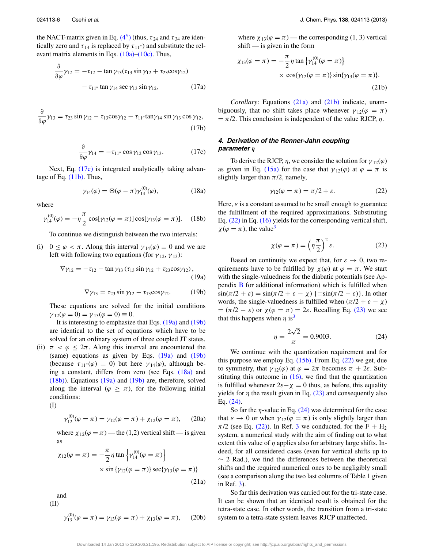the NACT-matrix given in Eq.  $(4'')$  $(4'')$  (thus,  $\tau_{24}$  and  $\tau_{34}$  are identically zero and  $\tau_{14}$  is replaced by  $\tau_{11''}$ ) and substitute the relevant matrix elements in Eqs.  $(10a)$ – $(10c)$ . Thus,

$$
\frac{\partial}{\partial \varphi} \gamma_{12} = -\tau_{12} - \tan \gamma_{13} (\tau_{13} \sin \gamma_{12} + \tau_{23} \cos \gamma_{12}) - \tau_{11''} \tan \gamma_{14} \sec \gamma_{13} \sin \gamma_{12},
$$
 (17a)

$$
\frac{\partial}{\partial \varphi} \gamma_{13} = \tau_{23} \sin \gamma_{12} - \tau_{13} \cos \gamma_{12} - \tau_{11''} \tan \gamma_{14} \sin \gamma_{13} \cos \gamma_{12},
$$
\n(17b)

<span id="page-6-1"></span>
$$
\frac{\partial}{\partial \varphi} \gamma_{14} = -\tau_{11''} \cos \gamma_{12} \cos \gamma_{13}.
$$
 (17c)

Next, Eq. [\(17c\)](#page-6-1) is integrated analytically taking advantage of Eq.  $(11b)$ . Thus,

<span id="page-6-4"></span>
$$
\gamma_{14}(\varphi) = \Theta(\varphi - \pi)\gamma_{14}^{(0)}(\varphi), \qquad (18a)
$$

where

<span id="page-6-5"></span>
$$
\gamma_{14}^{(0)}(\varphi) = -\eta \frac{\pi}{2} \cos[\gamma_{12}(\varphi = \pi)] \cos[\gamma_{13}(\varphi = \pi)]. \quad (18b)
$$

To continue we distinguish between the two intervals:

(i)  $0 \leq \varphi < \pi$ . Along this interval  $\gamma_{14}(\varphi) \equiv 0$  and we are left with following two equations (for  $\gamma_{12}$ ,  $\gamma_{13}$ ):

<span id="page-6-2"></span>
$$
\nabla \gamma_{12} = -\tau_{12} - \tan \gamma_{13} (\tau_{13} \sin \gamma_{12} + \tau_{23} \cos \gamma_{12}),
$$
\n(19a)

<span id="page-6-3"></span>
$$
\nabla \gamma_{13} = \tau_{23} \sin \gamma_{12} - \tau_{13} \cos \gamma_{12}. \tag{19b}
$$

These equations are solved for the initial conditions  $\gamma_{12}(\varphi = 0) = \gamma_{13}(\varphi = 0) \equiv 0.$ 

It is interesting to emphasize that Eqs. [\(19a\)](#page-6-2) and [\(19b\)](#page-6-3) are identical to the set of equations which have to be solved for an ordinary system of three coupled JT states.

(ii)  $\pi < \varphi \leq 2\pi$ . Along this interval are encountered the (same) equations as given by Eqs.  $(19a)$  and  $(19b)$ (because  $\tau_{11''}(\varphi) \equiv 0$ ) but here  $\gamma_{14}(\varphi)$ , although being a constant, differs from zero (see Eqs. [\(18a\)](#page-6-4) and [\(18b\)\)](#page-6-5). Equations [\(19a\)](#page-6-2) and [\(19b\)](#page-6-3) are, therefore, solved along the interval ( $\varphi \geq \pi$ ), for the following initial conditions:

(I)

<span id="page-6-11"></span>
$$
\gamma_{12}^{(0)}(\varphi = \pi) = \gamma_{12}(\varphi = \pi) + \chi_{12}(\varphi = \pi), \quad (20a)
$$

where  $\chi_{12}(\varphi = \pi)$  — the (1,2) vertical shift — is given as

<span id="page-6-6"></span>
$$
\chi_{12}(\varphi = \pi) = -\frac{\pi}{2} \eta \tan \left\{ \gamma_{14}^{(0)}(\varphi = \pi) \right\}
$$
  
 
$$
\times \sin \left\{ \gamma_{12}(\varphi = \pi) \right\} \sec \left\{ \gamma_{13}(\varphi = \pi) \right\}
$$
  
(21a)

and (II)

$$
\gamma_{13}^{(0)}(\varphi = \pi) = \gamma_{13}(\varphi = \pi) + \chi_{13}(\varphi = \pi), \quad (20b)
$$

where  $\chi_{13}(\varphi = \pi)$  — the corresponding (1, 3) vertical shift — is given in the form

<span id="page-6-7"></span>
$$
\chi_{13}(\varphi = \pi) = -\frac{\pi}{2} \eta \tan \{ \gamma_{14}^{(0)}(\varphi = \pi) \}
$$
  
 
$$
\times \cos \{ \gamma_{12}(\varphi = \pi) \} \sin \{ \gamma_{13}(\varphi = \pi) \}.
$$
 (21b)

*Corollary*: Equations [\(21a\)](#page-6-6) and [\(21b\)](#page-6-7) indicate, unambiguously, that no shift takes place whenever  $\gamma_{12}(\varphi = \pi)$  $= \pi/2$ . This conclusion is independent of the value RJCP,  $\eta$ .

## <span id="page-6-0"></span>**4. Derivation of the Renner-Jahn coupling parameter** *η*

To derive the RJCP,  $\eta$ , we consider the solution for  $\gamma_{12}(\varphi)$ as given in Eq. [\(15a\)](#page-5-5) for the case that  $\gamma_{12}(\varphi)$  at  $\varphi = \pi$  is slightly larger than  $\pi/2$ , namely,

<span id="page-6-8"></span>
$$
\gamma_{12}(\varphi = \pi) = \pi/2 + \varepsilon. \tag{22}
$$

Here,  $\varepsilon$  is a constant assumed to be small enough to guarantee the fulfillment of the required approximations. Substituting Eq. [\(22\)](#page-6-8) in Eq. [\(16\)](#page-5-4) yields for the corresponding vertical shift,  $\chi(\varphi = \pi)$ , the value<sup>3</sup>

<span id="page-6-9"></span>
$$
\chi(\varphi = \pi) = \left(\eta \frac{\pi}{2}\right)^2 \varepsilon. \tag{23}
$$

Based on continuity we expect that, for  $\varepsilon \to 0$ , two requirements have to be fulfilled by  $\chi(\varphi)$  at  $\varphi = \pi$ . We start with the single-valuedness for the diabatic potentials (see Appendix [B](#page-10-12) for additional information) which is fulfilled when  $\sin(\pi/2 + \varepsilon) = \sin(\pi/2 + \varepsilon - \chi)$  {= $\sin(\pi/2 - \varepsilon)$ }. In other words, the single-valuedness is fulfilled when  $(\pi/2 + \varepsilon - \chi)$  $= (\pi/2 - \varepsilon)$  or  $\chi(\varphi = \pi) = 2\varepsilon$ . Recalling Eq. [\(23\)](#page-6-9) we see that this happens when  $\eta$  is<sup>3</sup>

<span id="page-6-10"></span>
$$
\eta = \frac{2\sqrt{2}}{\pi} = 0.9003. \tag{24}
$$

We continue with the quantization requirement and for this purpose we employ Eq.  $(15b)$ . From Eq.  $(22)$  we get, due to symmetry, that  $\gamma_{12}(\varphi)$  at  $\varphi = 2\pi$  becomes  $\pi + 2\varepsilon$ . Substituting this outcome in  $(16)$ , we find that the quantization is fulfilled whenever  $2\varepsilon - \chi = 0$  thus, as before, this equality yields for  $\eta$  the result given in Eq. [\(23\)](#page-6-9) and consequently also Eq. [\(24\).](#page-6-10)

So far the  $\eta$ -value in Eq. [\(24\)](#page-6-10) was determined for the case that  $\varepsilon \to 0$  or when  $\gamma_{12}(\varphi = \pi)$  is only slightly larger than  $\pi/2$  (see Eq. [\(22\)\)](#page-6-8). In Ref. [3](#page-10-6) we conducted, for the F + H<sub>2</sub> system, a numerical study with the aim of finding out to what extent this value of *η* applies also for arbitrary large shifts. Indeed, for all considered cases (even for vertical shifts up to  $\sim$  2 Rad.), we find the differences between the theoretical shifts and the required numerical ones to be negligibly small (see a comparison along the two last columns of Table 1 given in Ref. [3\)](#page-10-6).

So far this derivation was carried out for the tri-state case. It can be shown that an identical result is obtained for the tetra-state case. In other words, the transition from a tri-state system to a tetra-state system leaves RJCP unaffected.

Downloaded 14 Jan 2013 to 129.206.21.195. Redistribution subject to AIP license or copyright; see http://jcp.aip.org/about/rights\_and\_permissions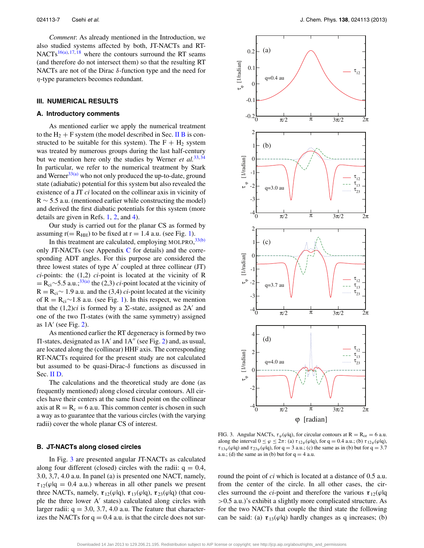*Comment*: As already mentioned in the Introduction, we also studied systems affected by both, JT-NACTs and RT-NACTs<sup>[16\(a\),](#page-11-1) [17,](#page-11-2) [18](#page-11-3)</sup> where the contours surround the RT seams (and therefore do not intersect them) so that the resulting RT NACTs are not of the Dirac *δ*-function type and the need for *η*-type parameters becomes redundant.

## <span id="page-7-0"></span>**III. NUMERICAL RESULTS**

#### **A. Introductory comments**

As mentioned earlier we apply the numerical treatment to the  $H_2 + F$  system (the model described in Sec. [II B](#page-3-4) is constructed to be suitable for this system). The  $F + H_2$  system was treated by numerous groups during the last half-century but we mention here only the studies by Werner *et al.*<sup>[33,](#page-11-23)[34](#page-11-24)</sup> In particular, we refer to the numerical treatment by Stark and Werner $33(a)$  who not only produced the up-to-date, ground state (adiabatic) potential for this system but also revealed the existence of a JT *ci* located on the collinear axis in vicinity of  $R \sim 5.5$  a.u. (mentioned earlier while constructing the model) and derived the first diabatic potentials for this system (more details are given in Refs. [1,](#page-10-0) [2,](#page-10-13) and [4\)](#page-10-1).

Our study is carried out for the planar CS as formed by assuming  $r(= R<sub>HH</sub>)$  to be fixed at  $r = 1.4$  a.u. (see Fig. [1\)](#page-2-0).

In this treatment are calculated, employing MOLPRO,  $33(b)$ only JT-NA[C](#page-10-14)Ts (see Appendix  $C$  for details) and the corresponding ADT angles. For this purpose are considered the three lowest states of type  $A'$  coupled at three collinear  $(TT)$ *ci*-points: the (1,2) *ci*-point is located at the vicinity of R  $=$  R<sub>ci</sub>∼5.5 a.u.;<sup>[33\(a\)](#page-11-25)</sup> the (2,3) *ci*-point located at the vicinity of  $R = R_{ci} \sim 1.9$  a.u. and the (3,4) *ci*-point located at the vicinity of R =  $R_{ci}$ ~1.8 a.u. (see Fig. [1\)](#page-2-0). In this respect, we mention that the  $(1,2)ci$  is formed by a  $\Sigma$ -state, assigned as  $2A'$  and one of the two  $\Pi$ -states (with the same symmetry) assigned as  $1A'$  (see Fig. [2\)](#page-3-0).

As mentioned earlier the RT degeneracy is formed by two  $\Pi$ -states, designated as  $1A'$  and  $1A''$  (see Fig. [2\)](#page-3-0) and, as usual, are located along the (collinear) HHF axis. The corresponding RT-NACTs required for the present study are not calculated but assumed to be quasi-Dirac-*δ* functions as discussed in Sec. [II D.](#page-5-7)

The calculations and the theoretical study are done (as frequently mentioned) along closed circular contours. All circles have their centers at the same fixed point on the collinear axis at  $R = R_c = 6$  a.u. This common center is chosen in such a way as to guarantee that the various circles (with the varying radii) cover the whole planar CS of interest.

#### **B. JT-NACTs along closed circles**

In Fig. [3](#page-7-1) are presented angular JT-NACTs as calculated along four different (closed) circles with the radii:  $q = 0.4$ , 3.0, 3,7, 4.0 a.u. In panel (a) is presented one NACT, namely,  $\tau_{12}(\varphi)q = 0.4$  a.u.) whereas in all other panels we present three NACTs, namely,  $\tau_{12}(\varphi|q)$ ,  $\tau_{13}(\varphi|q)$ ,  $\tau_{23}(\varphi|q)$  (that couple the three lower  $A'$  states) calculated along circles with larger radii:  $q = 3.0, 3.7, 4.0$  a.u. The feature that characterizes the NACTs for  $q = 0.4$  a.u. is that the circle does not sur-

<span id="page-7-1"></span>

FIG. 3. Angular NACTs,  $\tau_{\varphi}(\varphi|q)$ , for circular contours at R = R<sub>ce</sub> = 6 a.u. along the interval  $0 \le \varphi \le 2\pi$ : (a)  $\tau_{12\varphi}(\varphi|q)$ , for  $q = 0.4$  a.u.; (b)  $\tau_{12\varphi}(\varphi|q)$ ,  $\tau_{13\varphi}(\varphi|q)$  and  $\tau_{23\varphi}(\varphi|q)$ , for  $q = 3$  a.u.; (c) the same as in (b) but for  $q = 3.7$ a.u.; (d) the same as in (b) but for  $q = 4$  a.u.

round the point of *ci* which is located at a distance of 0.5 a.u. from the center of the circle. In all other cases, the circles surround the *ci*-point and therefore the various  $\tau_{12}(\varphi)q$ *>*0.5 a.u.)'s exhibit a slightly more complicated structure. As for the two NACTs that couple the third state the following can be said: (a)  $\tau_{13}(\varphi|q)$  hardly changes as q increases; (b)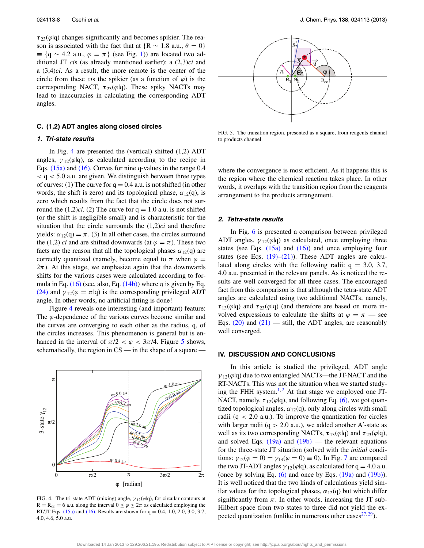*τ* 23(*ϕ*|q) changes significantly and becomes spikier. The reason is associated with the fact that at  ${R \sim 1.8 \text{ a.u., } \theta = 0}$  $\equiv$  {q ~ 4.2 a.u.,  $\varphi = \pi$ } (see Fig. [1\)](#page-2-0)) are located two additional JT *ci*s (as already mentioned earlier): a (2,3)*ci* and a (3,4)*ci*. As a result, the more remote is the center of the circle from these *cis* the spikier (as a function of  $\varphi$ ) is the corresponding NACT,  $\tau_{23}(\varphi|q)$ . These spiky NACTs may lead to inaccuracies in calculating the corresponding ADT angles.

## **C. (1,2) ADT angles along closed circles**

## **1. Tri-state results**

In Fig. [4](#page-8-1) are presented the (vertical) shifted  $(1,2)$  ADT angles,  $\gamma_{12}(\varphi|q)$ , as calculated according to the recipe in Eqs. [\(15a\)](#page-5-5) and [\(16\).](#page-5-4) Curves for nine q-values in the range 0.4 *<* q *<* 5.0 a.u. are given. We distinguish between three types of curves: (1) The curve for  $q = 0.4$  a.u. is not shifted (in other words, the shift is zero) and its topological phase,  $\alpha_{12}(q)$ , is zero which results from the fact that the circle does not surround the  $(1,2)ci.$  (2) The curve for  $q = 1.0$  a.u. is not shifted (or the shift is negligible small) and is characteristic for the situation that the circle surrounds the (1,2)*ci* and therefore yields:  $\alpha_{12}(q) = \pi$ . (3) In all other cases, the circles surround the (1,2) *ci* and are shifted downwards (at  $\varphi = \pi$ ). These two facts are the reason that all the topological phases  $\alpha_{12}(q)$  are correctly quantized (namely, become equal to  $\pi$  when  $\varphi$  =  $2\pi$ ). At this stage, we emphasize again that the downwards shifts for the various cases were calculated according to formula in Eq.  $(16)$  (see, also, Eq.  $(14b)$ ) where  $\eta$  is given by Eq. [\(24\)](#page-6-10) and  $\gamma_{12}(\varphi = \pi | \mathbf{q})$  is the corresponding privileged ADT angle. In other words, no artificial fitting is done!

Figure [4](#page-8-1) reveals one interesting (and important) feature: The *ϕ*-dependence of the various curves become similar and the curves are converging to each other as the radius, q, of the circles increases. This phenomenon is general but is enhanced in the interval of  $\pi/2 < \varphi < 3\pi/4$ . Figure [5](#page-8-2) shows, schematically, the region in CS — in the shape of a square —

<span id="page-8-1"></span>

FIG. 4. The tri-state ADT (mixing) angle,  $\gamma_{12}(\varphi|q)$ , for circular contours at  $R = R_{ce} = 6$  a.u. along the interval  $0 \le \varphi \le 2\pi$  as calculated employing the RT/JT Eqs. [\(15a\)](#page-5-5) and [\(16\).](#page-5-4) Results are shown for  $q = 0.4, 1.0, 2.0, 3.0, 3.7$ , 4.0, 4.6, 5.0 a.u.

<span id="page-8-2"></span>

FIG. 5. The transition region, presented as a square, from reagents channel to products channel.

where the convergence is most efficient. As it happens this is the region where the chemical reaction takes place. In other words, it overlaps with the transition region from the reagents arrangement to the products arrangement.

#### <span id="page-8-3"></span>**2. Tetra-state results**

In Fig. [6](#page-9-0) is presented a comparison between privileged ADT angles,  $\gamma_{12}(\varphi|q)$  as calculated, once employing three states (see Eqs.  $(15a)$  and  $(16)$ ) and once employing four states (see Eqs.  $(19)$ – $(21)$ ). These ADT angles are calculated along circles with the following radii:  $q = 3.0, 3.7,$ 4.0 a.u. presented in the relevant panels. As is noticed the results are well converged for all three cases. The encouraged fact from this comparison is that although the tetra-state ADT angles are calculated using two additional NACTs, namely, *τ*<sub>13</sub>( $\varphi$ |q) and *τ*<sub>23</sub>( $\varphi$ |q) (and therefore are based on more involved expressions to calculate the shifts at  $\varphi = \pi$  — see Eqs.  $(20)$  and  $(21)$  — still, the ADT angles, are reasonably well converged.

#### <span id="page-8-0"></span>**IV. DISCUSSION AND CONCLUSIONS**

In this article is studied the privileged, ADT angle *γ* 12(*ϕ*|q) due to two entangled NACTs—the JT-NACT and the RT-NACTs. This was not the situation when we started studying the FHH system. $1,2$  $1,2$  At that stage we employed one JT-NACT, namely,  $\tau_{12}(\varphi|q)$ , and following Eq. [\(6\),](#page-4-5) we got quantized topological angles,  $\alpha_{12}(q)$ , only along circles with small radii (q *<* 2.0 a.u.). To improve the quantization for circles with larger radii  $(q > 2.0 a.u.),$  we added another A'-state as well as its two corresponding NACTs,  $\tau_{13}(\varphi|q)$  and  $\tau_{23}(\varphi|q)$ , and solved Eqs.  $(19a)$  and  $(19b)$  — the relevant equations for the three-state JT situation (solved with the *initial* conditions:  $\gamma_{12}(\varphi = 0) = \gamma_{13}(\varphi = 0) \equiv 0$ ). In Fig. [7](#page-9-1) are compared the two JT-ADT angles  $\gamma_{12}(\varphi|q)$ , as calculated for  $q = 4.0$  a.u. (once by solving Eq.  $(6)$  and once by Eqs.  $(19a)$  and  $(19b)$ ). It is well noticed that the two kinds of calculations yield similar values for the topological phases,  $\alpha_{12}(q)$  but which differ significantly from  $\pi$ . In other words, increasing the JT sub-Hilbert space from two states to three did not yield the expected quantization (unlike in numerous other cases $27,29$ ).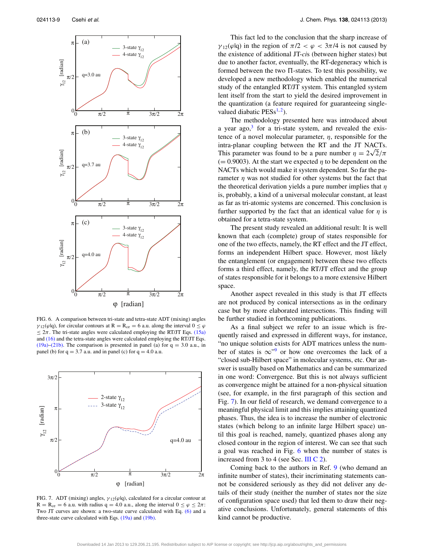<span id="page-9-0"></span>

FIG. 6. A comparison between tri-state and tetra-state ADT (mixing) angles *γ*<sub>12</sub>( $\varphi$ lq), for circular contours at R = R<sub>ce</sub> = 6 a.u. along the interval 0 ≤  $\varphi$  $\leq 2\pi$ . The tri-state angles were calculated employing the RT/JT Eqs. [\(15a\)](#page-5-5) and [\(16\)](#page-5-4) and the tetra-state angles were calculated employing the RT/JT Eqs. [\(19a\)–](#page-6-2)[\(21b\).](#page-6-7) The comparison is presented in panel (a) for  $q = 3.0$  a.u., in panel (b) for  $q = 3.7$  a.u. and in panel (c) for  $q = 4.0$  a.u.

<span id="page-9-1"></span>

FIG. 7. ADT (mixing) angles, *γ* 12(*ϕ*|q), calculated for a circular contour at  $R = R_{ce} = 6$  a.u. with radius  $q = 4.0$  a.u., along the interval  $0 \le \varphi \le 2\pi$ : Two JT curves are shown: a two-state curve calculated with Eq. [\(6\)](#page-4-5) and a three-state curve calculated with Eqs. [\(19a\)](#page-6-2) and [\(19b\).](#page-6-3)

This fact led to the conclusion that the sharp increase of *γ*<sub>12</sub>( $\varphi$ |q) in the region of  $\pi/2 < \varphi < 3\pi/4$  is not caused by the existence of additional JT-*ci*s (between higher states) but due to another factor, eventually, the RT-degeneracy which is formed between the two  $\Pi$ -states. To test this possibility, we developed a new methodology which enabled the numerical study of the entangled RT/JT system. This entangled system lent itself from the start to yield the desired improvement in the quantization (a feature required for guaranteeing singlevalued diabatic  $PESS^{1,2}$  $PESS^{1,2}$  $PESS^{1,2}$ ).

The methodology presented here was introduced about a year ago, $3$  for a tri-state system, and revealed the existence of a novel molecular parameter, *η*, responsible for the intra-planar coupling between the RT and the JT NACTs. intra-planar coupling between the R1 and the J1 NAC1s.<br>This parameter was found to be a pure number  $\eta = 2\sqrt{2}/\pi$  $(= 0.9003)$ . At the start we expected  $\eta$  to be dependent on the NACTs which would make it system dependent. So far the parameter *η* was not studied for other systems but the fact that the theoretical derivation yields a pure number implies that *η* is, probably, a kind of a universal molecular constant, at least as far as tri-atomic systems are concerned. This conclusion is further supported by the fact that an identical value for *η* is obtained for a tetra-state system.

The present study revealed an additional result: It is well known that each (complete) group of states responsible for one of the two effects, namely, the RT effect and the JT effect, forms an independent Hilbert space. However, most likely the entanglement (or engagement) between these two effects forms a third effect, namely, the RT/JT effect and the group of states responsible for it belongs to a more extensive Hilbert space.

Another aspect revealed in this study is that JT effects are not produced by conical intersections as in the ordinary case but by more elaborated intersections. This finding will be further studied in forthcoming publications.

As a final subject we refer to an issue which is frequently raised and expressed in different ways, for instance, "no unique solution exists for ADT matrices unless the number of states is  $\infty$ <sup>["9](#page-10-8)</sup> or how one overcomes the lack of a "closed sub-Hilbert space" in molecular systems, etc. Our answer is usually based on Mathematics and can be summarized in one word: Convergence. But this is not always sufficient as convergence might be attained for a non-physical situation (see, for example, in the first paragraph of this section and Fig. [7\)](#page-9-1). In our field of research, we demand convergence to a meaningful physical limit and this implies attaining quantized phases. Thus, the idea is to increase the number of electronic states (which belong to an infinite large Hilbert space) until this goal is reached, namely, quantized phases along any closed contour in the region of interest. We can see that such a goal was reached in Fig. [6](#page-9-0) when the number of states is increased from 3 to 4 (see Sec. [III C 2\)](#page-8-3).

Coming back to the authors in Ref. [9](#page-10-8) (who demand an infinite number of states), their incriminating statements cannot be considered seriously as they did not deliver any details of their study (neither the number of states nor the size of configuration space used) that led them to draw their negative conclusions. Unfortunately, general statements of this kind cannot be productive.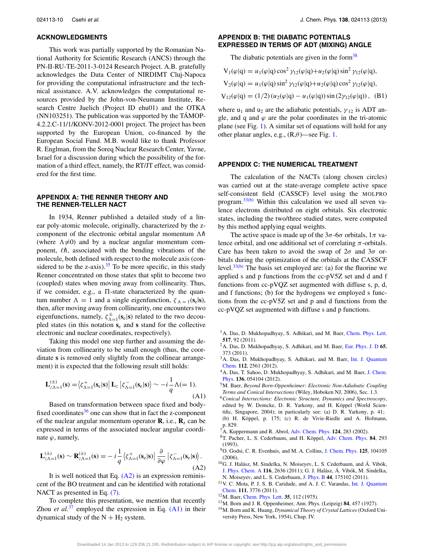## **ACKNOWLEDGMENTS**

This work was partially supported by the Romanian National Authority for Scientific Research (ANCS) through the PN-II-RU-TE-2011-3-0124 Research Project. A.B. gratefully acknowledges the Data Center of NIRDIMT Cluj-Napoca for providing the computational infrastructure and the technical assistance. A.V. acknowledges the computational resources provided by the John-von-Neumann Institute, Research Centre Juelich (Project ID ehu01) and the OTKA (NN103251). The publication was supported by the TÁMOP-4.2.2.C-11/1/KONV-2012-0001 project. The project has been supported by the European Union, co-financed by the European Social Fund. M.B. would like to thank Professor R. Englman, from the Soreq Nuclear Research Center, Yavne, Israel for a discussion during which the possibility of the formation of a third effect, namely, the RT/JT effect, was considered for the first time.

## <span id="page-10-10"></span>**APPENDIX A: THE RENNER THEORY AND THE RENNER-TELLER NACT**

In 1934, Renner published a detailed study of a linear poly-atomic molecule, originally, characterized by the zcomponent of the electronic orbital angular momentum  $\Lambda \hbar$ (where  $\Lambda \neq 0$ ) and by a nuclear angular momentum component,  $\ell \hbar$ , associated with the bending vibrations of the molecule, both defined with respect to the molecule axis (considered to be the z-axis).  $35$  To be more specific, in this study Renner concentrated on those states that split to become two (coupled) states when moving away from collinearity. Thus, if we consider, e.g., a  $\Pi$ -state characterized by the quantum number  $\Lambda = 1$  and a single eigenfunction,  $\zeta_{\Lambda = 1}(\mathbf{s}_e|\mathbf{s})$ , then, after moving away from collinearity, one encounters two eigenfunctions, namely,  $\zeta_{\Lambda=1}^{\pm}(\mathbf{s}_{e}|\mathbf{s})$  related to the two decoupled states (in this notation **s**<sup>e</sup> and **s** stand for the collective electronic and nuclear coordinates, respectively).

Taking this model one step further and assuming the deviation from collinearity to be small enough (thus, the coordinate **s** is removed only slightly from the collinear arrangement) it is expected that the following result still holds:

<span id="page-10-16"></span>
$$
\mathbf{L}_{z\Lambda=1}^{(\pm)}(\mathbf{s}) = \left\langle \zeta_{\Lambda=1}^{+}(\mathbf{s}_{e}|\mathbf{s}) \right| \mathbf{L}_{z} \left| \zeta_{\Lambda=1}^{-}(\mathbf{s}_{e}|\mathbf{s}) \right\rangle \sim -i\frac{1}{q}\Lambda (=1). \tag{A1}
$$

Based on transformation between space fixed and bodyfixed coordinates $36$  one can show that in fact the z-component of the nuclear angular momentum operator  $\mathbf{R}$ , i.e.,  $\mathbf{R}_z$  can be expressed in terms of the associated nuclear angular coordinate *ϕ*, namely,

<span id="page-10-15"></span>
$$
\mathbf{L}_{z\Lambda=1}^{(\pm)}(\mathbf{s}) \sim \mathbf{R}_{z\Lambda=1}^{(\pm)}(\mathbf{s}) = -i\frac{1}{q} \left\langle \zeta_{\Lambda=1}^{+}(\mathbf{s}_{e}|\mathbf{s}) \right| \frac{\partial}{\partial \varphi} \left| \zeta_{\Lambda=1}^{-}(\mathbf{s}_{e}|\mathbf{s}) \right\rangle. \tag{A2}
$$

It is well noticed that Eq.  $(A2)$  is an expression reminiscent of the BO treatment and can be identified with rotational NACT as presented in Eq.  $(7)$ .

To complete this presentation, we mention that recently Zhou *et al.*<sup>[37](#page-11-30)</sup> employed the expression in Eq.  $(A1)$  in their dynamical study of the  $N + H_2$  system.

## <span id="page-10-12"></span>**APPENDIX B: THE DIABATIC POTENTIALS EXPRESSED IN TERMS OF ADT (MIXING) ANGLE**

The diabatic potentials are given in the form $38$ 

$$
V_1(\varphi|q) = u_1(\varphi|q)\cos^2\gamma_{12}(\varphi|q) + u_2(\varphi|q)\sin^2\gamma_{12}(\varphi|q),
$$
  
\n
$$
V_2(\varphi|q) = u_1(\varphi|q)\sin^2\gamma_{12}(\varphi|q) + u_2(\varphi|q)\cos^2\gamma_{12}(\varphi|q),
$$
  
\n
$$
V_{12}(\varphi|q) = (1/2) (u_2(\varphi|q) - u_1(\varphi|q))\sin(2\gamma_{12}(\varphi|q)),
$$
 (B1)

where  $u_1$  and  $u_2$  are the adiabatic potentials,  $\gamma_{12}$  is ADT angle, and q and  $\varphi$  are the polar coordinates in the tri-atomic plane (see Fig. [1\)](#page-2-0). A similar set of equations will hold for any other planar angles, e.g.,  $(R,\theta)$ —see Fig. [1.](#page-2-0)

#### <span id="page-10-14"></span>**APPENDIX C: THE NUMERICAL TREATMENT**

The calculation of the NACTs (along chosen circles) was carried out at the state-average complete active space self-consistent field (CASSCF) level using the MOLPRO program. $33(b)$  Within this calculation we used all seven valence electrons distributed on eight orbitals. Six electronic states, including the two/three studied states, were computed by this method applying equal weights.

The active space is made up of the  $3\sigma$ -6 $\sigma$  orbitals,  $1\pi$  valence orbital, and one additional set of correlating  $\pi$ -orbitals. Care has been taken to avoid the swap of 2*σ* and 3*σ* orbitals during the optimization of the orbitals at the CASSCF level.<sup>[33\(b\)](#page-11-26)</sup> The basis set employed are: (a) for the fluorine we applied s and p functions from the cc-pV5Z set and d and f functions from cc-pVQZ set augmented with diffuse s, p, d, and f functions; (b) for the hydrogens we employed s functions from the cc-pV5Z set and p and d functions from the cc-pVQZ set augmented with diffuse s and p functions.

- <span id="page-10-0"></span><sup>1</sup>A. Das, D. Mukhopadhyay, S. Adhikari, and M. Baer, [Chem. Phys. Lett.](http://dx.doi.org/10.1016/j.cplett.2011.09.072) **517**, 92 (2011).
- <span id="page-10-13"></span>2A. Das, D. Mukhopadhyay, S. Adhikari, and M. Baer, [Eur. Phys. J. D](http://dx.doi.org/10.1140/epjd/e2011-20297-6) **65**, 373 (2011).
- <span id="page-10-6"></span>3A. Das, D. Mukhopadhyay, S. Adhikari, and M. Baer, [Int. J. Quantum](http://dx.doi.org/10.1002/qua.23272) [Chem.](http://dx.doi.org/10.1002/qua.23272) **112**, 2561 (2012).
- <span id="page-10-1"></span><sup>4</sup>A. Das, T. Sahoo, D. Mukhopadhyay, S. Adhikari, and M. Baer, [J. Chem.](http://dx.doi.org/10.1063/1.3679406) [Phys.](http://dx.doi.org/10.1063/1.3679406) **136**, 054104 (2012).
- <span id="page-10-2"></span>5M. Baer, *Beyond Born-Oppenheimer: Electronic Non-Adiabatic Coupling Terms and Conical Intersections* (Wiley, Hoboken NJ, 2006), Sec. 1.3.
- <span id="page-10-7"></span><sup>6</sup>*Conical Intersections: Electronic Structure, Dynamics and Spectroscopy*, edited by W. Domcke, D. R. Yarkony, and H. Köppel (World Scientific, Singapore, 2004); in particularly see: (a) D. R. Yarkony, p. 41; (b) H. Köppel, p. 175; (c) R. de Vivie-Riedle and A. Hofmann, p. 829.
- <span id="page-10-11"></span>7A. Kuppermann and R. Abrol, [Adv. Chem. Phys.](http://dx.doi.org/10.1002/0471433462.ch5) **124**, 283 (2002).
- 8T. Pacher, L. S. Cederbaum, and H. Köppel, [Adv. Chem. Phys.](http://dx.doi.org/10.1002/9780470141427.ch4) **84**, 293 (1993).
- <span id="page-10-8"></span>9O. Godsi, C. R. Evenhuis, and M. A. Collins, [J. Chem. Phys.](http://dx.doi.org/10.1063/1.2338912) **125**, 104105 (2006).
- 10G. J. Halász, M. Sindelka, N. Moiseyev, L. S. Cederbaum, and Á. Vibók, [J. Phys. Chem. A](http://dx.doi.org/10.1021/jp206860p) **116**, 2636 (2011); G. J. Halász, Á. Vibók, M. Sindelka, N. Moiseyev, and L. S. Cederbaum, [J. Phys. B](http://dx.doi.org/10.1088/0953-4075/44/17/175102) **44**, 175102 (2011).
- <span id="page-10-9"></span>11V. C. Mota, P. J. S. B. Caridade, and A. J. C. Varandas, [Int. J. Quantum](http://dx.doi.org/10.1002/qua.22907) [Chem.](http://dx.doi.org/10.1002/qua.22907) **111**, 3776 (2011).
- <span id="page-10-4"></span><span id="page-10-3"></span>12M. Baer, [Chem. Phys. Lett.](http://dx.doi.org/10.1016/0009-2614(75)85599-0) **35**, 112 (1975).
- <span id="page-10-5"></span>13M. Born and J. R. Oppenheimer, Ann. Phys. (Leipzig) **84**, 457 (1927).
- 14M. Born and K. Huang, *Dynamical Theory of Crystal Lattices* (Oxford University Press, New York, 1954), Chap. IV.